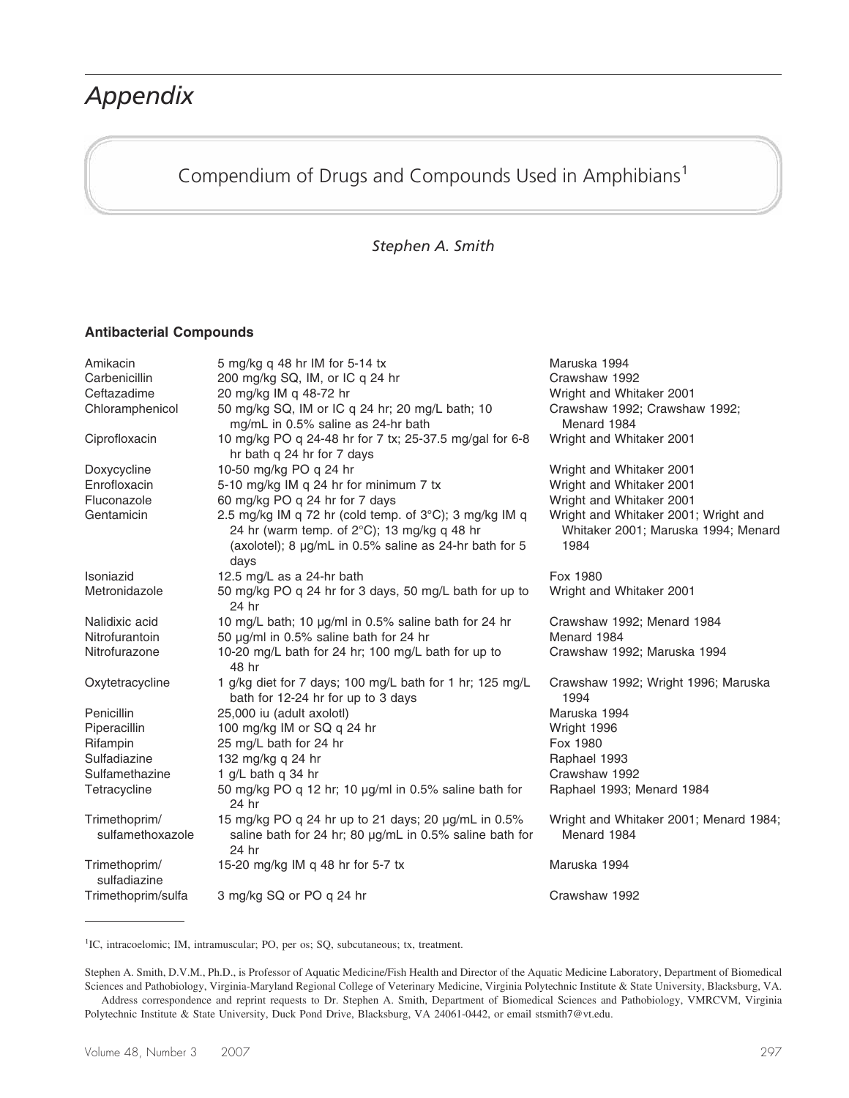# *Appendix*

# Compendium of Drugs and Compounds Used in Amphibians<sup>1</sup>

#### *Stephen A. Smith*

#### **Antibacterial Compounds**

| Amikacin                          | 5 mg/kg q 48 hr IM for 5-14 tx                                                                                                                                          | Maruska 1994                                                                        |
|-----------------------------------|-------------------------------------------------------------------------------------------------------------------------------------------------------------------------|-------------------------------------------------------------------------------------|
| Carbenicillin                     | 200 mg/kg SQ, IM, or IC q 24 hr                                                                                                                                         | Crawshaw 1992                                                                       |
| Ceftazadime                       | 20 mg/kg IM q 48-72 hr                                                                                                                                                  | Wright and Whitaker 2001                                                            |
| Chloramphenicol                   | 50 mg/kg SQ, IM or IC q 24 hr; 20 mg/L bath; 10<br>mg/mL in 0.5% saline as 24-hr bath                                                                                   | Crawshaw 1992; Crawshaw 1992;<br>Menard 1984                                        |
| Ciprofloxacin                     | 10 mg/kg PO q 24-48 hr for 7 tx; 25-37.5 mg/gal for 6-8<br>hr bath q 24 hr for 7 days                                                                                   | Wright and Whitaker 2001                                                            |
| Doxycycline                       | 10-50 mg/kg PO q 24 hr                                                                                                                                                  | Wright and Whitaker 2001                                                            |
| Enrofloxacin                      | 5-10 mg/kg IM q 24 hr for minimum 7 tx                                                                                                                                  | Wright and Whitaker 2001                                                            |
| Fluconazole                       | 60 mg/kg PO q 24 hr for 7 days                                                                                                                                          | Wright and Whitaker 2001                                                            |
| Gentamicin                        | 2.5 mg/kg IM q 72 hr (cold temp. of 3°C); 3 mg/kg IM q<br>24 hr (warm temp. of 2°C); 13 mg/kg q 48 hr<br>(axolotel); 8 µg/mL in 0.5% saline as 24-hr bath for 5<br>days | Wright and Whitaker 2001; Wright and<br>Whitaker 2001; Maruska 1994; Menard<br>1984 |
| Isoniazid                         | 12.5 mg/L as a 24-hr bath                                                                                                                                               | Fox 1980                                                                            |
| Metronidazole                     | 50 mg/kg PO q 24 hr for 3 days, 50 mg/L bath for up to<br>24 hr                                                                                                         | Wright and Whitaker 2001                                                            |
| Nalidixic acid                    | 10 mg/L bath; 10 µg/ml in 0.5% saline bath for 24 hr                                                                                                                    | Crawshaw 1992; Menard 1984                                                          |
| Nitrofurantoin                    | 50 µg/ml in 0.5% saline bath for 24 hr                                                                                                                                  | Menard 1984                                                                         |
| Nitrofurazone                     | 10-20 mg/L bath for 24 hr; 100 mg/L bath for up to<br>48 hr                                                                                                             | Crawshaw 1992; Maruska 1994                                                         |
| Oxytetracycline                   | 1 g/kg diet for 7 days; 100 mg/L bath for 1 hr; 125 mg/L<br>bath for 12-24 hr for up to 3 days                                                                          | Crawshaw 1992; Wright 1996; Maruska<br>1994                                         |
| Penicillin                        | 25,000 iu (adult axolotl)                                                                                                                                               | Maruska 1994                                                                        |
| Piperacillin                      | 100 mg/kg IM or SQ q 24 hr                                                                                                                                              | Wright 1996                                                                         |
| Rifampin                          | 25 mg/L bath for 24 hr                                                                                                                                                  | Fox 1980                                                                            |
| Sulfadiazine                      | 132 mg/kg q 24 hr                                                                                                                                                       | Raphael 1993                                                                        |
| Sulfamethazine                    | 1 g/L bath q 34 hr                                                                                                                                                      | Crawshaw 1992                                                                       |
| Tetracycline                      | 50 mg/kg PO q 12 hr; 10 µg/ml in 0.5% saline bath for<br>24 hr                                                                                                          | Raphael 1993; Menard 1984                                                           |
| Trimethoprim/<br>sulfamethoxazole | 15 mg/kg PO q 24 hr up to 21 days; 20 µg/mL in 0.5%<br>saline bath for 24 hr; 80 $\mu$ g/mL in 0.5% saline bath for<br>24 hr                                            | Wright and Whitaker 2001; Menard 1984;<br>Menard 1984                               |
| Trimethoprim/<br>sulfadiazine     | 15-20 mg/kg IM q 48 hr for 5-7 tx                                                                                                                                       | Maruska 1994                                                                        |
| Trimethoprim/sulfa                | 3 mg/kg SQ or PO q 24 hr                                                                                                                                                | Crawshaw 1992                                                                       |

<sup>1</sup>IC, intracoelomic; IM, intramuscular; PO, per os; SQ, subcutaneous; tx, treatment.

Stephen A. Smith, D.V.M., Ph.D., is Professor of Aquatic Medicine/Fish Health and Director of the Aquatic Medicine Laboratory, Department of Biomedical Sciences and Pathobiology, Virginia-Maryland Regional College of Veterinary Medicine, Virginia Polytechnic Institute & State University, Blacksburg, VA.

Address correspondence and reprint requests to Dr. Stephen A. Smith, Department of Biomedical Sciences and Pathobiology, VMRCVM, Virginia Polytechnic Institute & State University, Duck Pond Drive, Blacksburg, VA 24061-0442, or email stsmith7@vt.edu.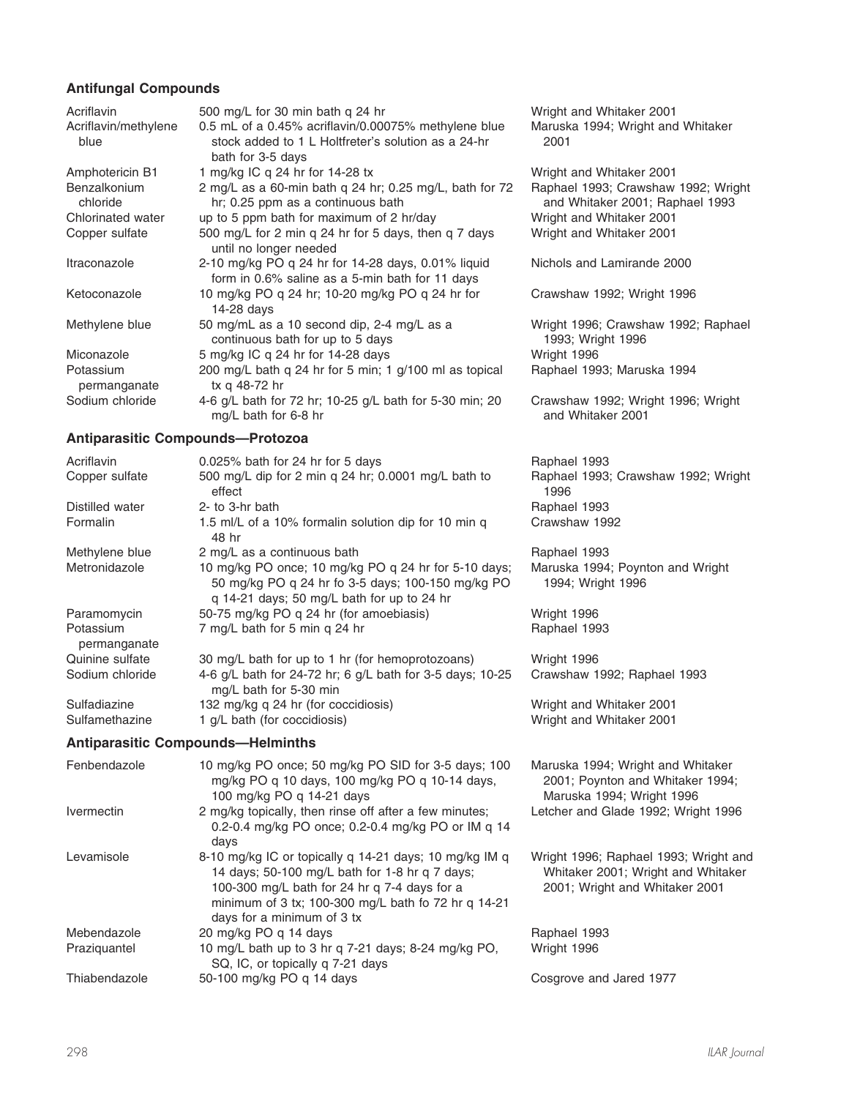#### **Antifungal Compounds**

| Acriflavin                   | 500 mg/L for 30 min bath q 24 hr                                                                                                 | Wright and Whitaker 2001                                               |
|------------------------------|----------------------------------------------------------------------------------------------------------------------------------|------------------------------------------------------------------------|
| Acriflavin/methylene<br>blue | 0.5 mL of a 0.45% acriflavin/0.00075% methylene blue<br>stock added to 1 L Holtfreter's solution as a 24-hr<br>bath for 3-5 days | Maruska 1994; Wright and Whitaker<br>2001                              |
| Amphotericin B1              | 1 mg/kg IC q 24 hr for 14-28 tx                                                                                                  | Wright and Whitaker 2001                                               |
| Benzalkonium<br>chloride     | 2 mg/L as a 60-min bath q 24 hr; 0.25 mg/L, bath for 72<br>hr; 0.25 ppm as a continuous bath                                     | Raphael 1993; Crawshaw 1992; Wright<br>and Whitaker 2001; Raphael 1993 |
| Chlorinated water            | up to 5 ppm bath for maximum of 2 hr/day                                                                                         | Wright and Whitaker 2001                                               |
| Copper sulfate               | 500 mg/L for 2 min q 24 hr for 5 days, then q 7 days<br>until no longer needed                                                   | Wright and Whitaker 2001                                               |
| Itraconazole                 | 2-10 mg/kg PO q 24 hr for 14-28 days, 0.01% liquid<br>form in 0.6% saline as a 5-min bath for 11 days                            | Nichols and Lamirande 2000                                             |
| Ketoconazole                 | 10 mg/kg PO q 24 hr; 10-20 mg/kg PO q 24 hr for<br>14-28 days                                                                    | Crawshaw 1992; Wright 1996                                             |
| Methylene blue               | 50 mg/mL as a 10 second dip, 2-4 mg/L as a<br>continuous bath for up to 5 days                                                   | Wright 1996; Crawshaw 1992; Raphael<br>1993; Wright 1996               |
| Miconazole                   | 5 mg/kg IC q 24 hr for 14-28 days                                                                                                | Wright 1996                                                            |
| Potassium<br>permanganate    | 200 mg/L bath q 24 hr for 5 min; 1 g/100 ml as topical<br>tx g 48-72 hr                                                          | Raphael 1993; Maruska 1994                                             |
| Sodium chloride              | 4-6 g/L bath for 72 hr; 10-25 g/L bath for 5-30 min; 20<br>mg/L bath for 6-8 hr                                                  | Crawshaw 1992; Wright 1996; Wright<br>and Whitaker 2001                |

#### **Antiparasitic Compounds—Protozoa**

| Acriflavin                | $0.025\%$ bath for 24 hr for 5 days                                                                                                                     | Raphael 1993                                                                                       |
|---------------------------|---------------------------------------------------------------------------------------------------------------------------------------------------------|----------------------------------------------------------------------------------------------------|
| Copper sulfate            | 500 mg/L dip for 2 min q 24 hr; 0.0001 mg/L bath to<br>effect                                                                                           | Raphael 1993; Crawshaw 1992; Wright<br>1996                                                        |
| Distilled water           | 2- to 3-hr bath                                                                                                                                         | Raphael 1993                                                                                       |
| Formalin                  | 1.5 ml/L of a 10% formalin solution dip for 10 min q<br>48 hr                                                                                           | Crawshaw 1992                                                                                      |
| Methylene blue            | 2 mg/L as a continuous bath                                                                                                                             | Raphael 1993                                                                                       |
| Metronidazole             | 10 mg/kg PO once; 10 mg/kg PO q 24 hr for 5-10 days;<br>50 mg/kg PO q 24 hr fo 3-5 days; 100-150 mg/kg PO<br>q 14-21 days; 50 mg/L bath for up to 24 hr | Maruska 1994; Poynton and Wright<br>1994; Wright 1996                                              |
| Paramomycin               | 50-75 mg/kg PO q 24 hr (for amoebiasis)                                                                                                                 | Wright 1996                                                                                        |
| Potassium<br>permanganate | 7 mg/L bath for 5 min q 24 hr                                                                                                                           | Raphael 1993                                                                                       |
| Quinine sulfate           | 30 mg/L bath for up to 1 hr (for hemoprotozoans)                                                                                                        | Wright 1996                                                                                        |
| Sodium chloride           | 4-6 g/L bath for 24-72 hr; 6 g/L bath for 3-5 days; 10-25<br>mg/L bath for 5-30 min                                                                     | Crawshaw 1992; Raphael 1993                                                                        |
| Sulfadiazine              | 132 mg/kg q 24 hr (for coccidiosis)                                                                                                                     | Wright and Whitaker 2001                                                                           |
| Sulfamethazine            | 1 g/L bath (for coccidiosis)                                                                                                                            | Wright and Whitaker 2001                                                                           |
|                           | <b>Antiparasitic Compounds-Helminths</b>                                                                                                                |                                                                                                    |
| Fenbendazole              | 10 mg/kg PO once; 50 mg/kg PO SID for 3-5 days; 100<br>mg/kg PO q 10 days, 100 mg/kg PO q 10-14 days,<br>100 mg/kg PO q 14-21 days                      | Maruska 1994; Wright and Whitaker<br>2001; Poynton and Whitaker 1994;<br>Maruska 1994; Wright 1996 |
| Ivermectin                | 2 mg/kg topically, then rinse off after a few minutes;<br>0.2-0.4 mg/kg PO once; 0.2-0.4 mg/kg PO or IM q 14<br>days                                    | Letcher and Glade 1992; Wright 1996                                                                |

Levamisole 8-10 mg/kg IC or topically q 14-21 days; 10 mg/kg IM q

days for a minimum of 3 tx

SQ, IC, or topically q 7-21 days

Mebendazole 20 mg/kg PO q 14 days<br>Praziquantel 10 mg/L bath up to 3 hr

14 days; 50-100 mg/L bath for 1-8 hr q 7 days; 100-300 mg/L bath for 24 hr q 7-4 days for a minimum of 3 tx; 100-300 mg/L bath fo 72 hr q 14-21

10 mg/L bath up to 3 hr q 7-21 days; 8-24 mg/kg PO,

| Wright 1996; Raphael 1993; Wright and |
|---------------------------------------|
| Whitaker 2001; Wright and Whitaker    |
| 2001; Wright and Whitaker 2001        |
|                                       |

|             | Raphael 1993 |
|-------------|--------------|
| Wright 1996 |              |

Thiabendazole 50-100 mg/kg PO q 14 days Cosgrove and Jared 1977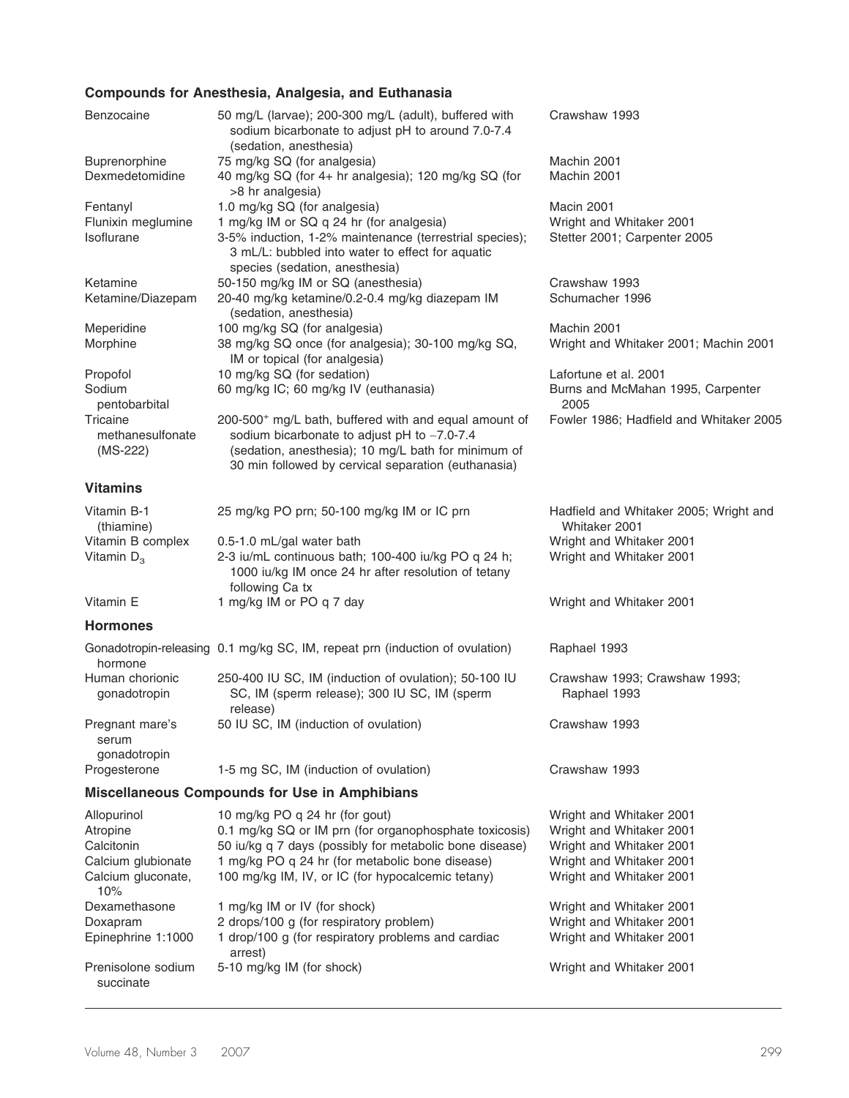## **Compounds for Anesthesia, Analgesia, and Euthanasia**

| Benzocaine                                                                        | 50 mg/L (larvae); 200-300 mg/L (adult), buffered with<br>sodium bicarbonate to adjust pH to around 7.0-7.4<br>(sedation, anesthesia)                                                                                                                        | Crawshaw 1993                                                                                                                            |
|-----------------------------------------------------------------------------------|-------------------------------------------------------------------------------------------------------------------------------------------------------------------------------------------------------------------------------------------------------------|------------------------------------------------------------------------------------------------------------------------------------------|
| Buprenorphine                                                                     | 75 mg/kg SQ (for analgesia)                                                                                                                                                                                                                                 | Machin 2001                                                                                                                              |
| Dexmedetomidine                                                                   | 40 mg/kg SQ (for 4+ hr analgesia); 120 mg/kg SQ (for<br>>8 hr analgesia)                                                                                                                                                                                    | Machin 2001                                                                                                                              |
| Fentanyl                                                                          | 1.0 mg/kg SQ (for analgesia)                                                                                                                                                                                                                                | Macin 2001                                                                                                                               |
| Flunixin meglumine<br>Isoflurane                                                  | 1 mg/kg IM or SQ q 24 hr (for analgesia)<br>3-5% induction, 1-2% maintenance (terrestrial species);<br>3 mL/L: bubbled into water to effect for aquatic<br>species (sedation, anesthesia)                                                                   | Wright and Whitaker 2001<br>Stetter 2001; Carpenter 2005                                                                                 |
| Ketamine                                                                          | 50-150 mg/kg IM or SQ (anesthesia)                                                                                                                                                                                                                          | Crawshaw 1993                                                                                                                            |
| Ketamine/Diazepam                                                                 | 20-40 mg/kg ketamine/0.2-0.4 mg/kg diazepam IM<br>(sedation, anesthesia)                                                                                                                                                                                    | Schumacher 1996                                                                                                                          |
| Meperidine                                                                        | 100 mg/kg SQ (for analgesia)                                                                                                                                                                                                                                | Machin 2001                                                                                                                              |
| Morphine                                                                          | 38 mg/kg SQ once (for analgesia); 30-100 mg/kg SQ,<br>IM or topical (for analgesia)                                                                                                                                                                         | Wright and Whitaker 2001; Machin 2001                                                                                                    |
| Propofol                                                                          | 10 mg/kg SQ (for sedation)                                                                                                                                                                                                                                  | Lafortune et al. 2001                                                                                                                    |
| Sodium<br>pentobarbital                                                           | 60 mg/kg IC; 60 mg/kg IV (euthanasia)                                                                                                                                                                                                                       | Burns and McMahan 1995, Carpenter<br>2005                                                                                                |
| Tricaine<br>methanesulfonate<br>(MS-222)                                          | 200-500 <sup>+</sup> mg/L bath, buffered with and equal amount of<br>sodium bicarbonate to adjust pH to ~7.0-7.4<br>(sedation, anesthesia); 10 mg/L bath for minimum of<br>30 min followed by cervical separation (euthanasia)                              | Fowler 1986; Hadfield and Whitaker 2005                                                                                                  |
| <b>Vitamins</b>                                                                   |                                                                                                                                                                                                                                                             |                                                                                                                                          |
| Vitamin B-1<br>(thiamine)                                                         | 25 mg/kg PO prn; 50-100 mg/kg IM or IC prn                                                                                                                                                                                                                  | Hadfield and Whitaker 2005; Wright and<br>Whitaker 2001                                                                                  |
| Vitamin B complex<br>Vitamin $D_3$                                                | 0.5-1.0 mL/gal water bath<br>2-3 iu/mL continuous bath; 100-400 iu/kg PO q 24 h;<br>1000 iu/kg IM once 24 hr after resolution of tetany                                                                                                                     | Wright and Whitaker 2001<br>Wright and Whitaker 2001                                                                                     |
| Vitamin E                                                                         | following Ca tx<br>1 mg/kg IM or PO q 7 day                                                                                                                                                                                                                 | Wright and Whitaker 2001                                                                                                                 |
| <b>Hormones</b>                                                                   |                                                                                                                                                                                                                                                             |                                                                                                                                          |
| hormone                                                                           | Gonadotropin-releasing 0.1 mg/kg SC, IM, repeat prn (induction of ovulation)                                                                                                                                                                                | Raphael 1993                                                                                                                             |
| Human chorionic<br>gonadotropin                                                   | 250-400 IU SC, IM (induction of ovulation); 50-100 IU<br>SC, IM (sperm release); 300 IU SC, IM (sperm<br>release)                                                                                                                                           | Crawshaw 1993; Crawshaw 1993;<br>Raphael 1993                                                                                            |
| Pregnant mare's<br>serum<br>gonadotropin                                          | 50 IU SC, IM (induction of ovulation)                                                                                                                                                                                                                       | Crawshaw 1993                                                                                                                            |
| Progesterone                                                                      | 1-5 mg SC, IM (induction of ovulation)                                                                                                                                                                                                                      | Crawshaw 1993                                                                                                                            |
|                                                                                   | <b>Miscellaneous Compounds for Use in Amphibians</b>                                                                                                                                                                                                        |                                                                                                                                          |
| Allopurinol<br>Atropine<br>Calcitonin<br>Calcium glubionate<br>Calcium gluconate, | 10 mg/kg PO q 24 hr (for gout)<br>0.1 mg/kg SQ or IM prn (for organophosphate toxicosis)<br>50 iu/kg q 7 days (possibly for metabolic bone disease)<br>1 mg/kg PO q 24 hr (for metabolic bone disease)<br>100 mg/kg IM, IV, or IC (for hypocalcemic tetany) | Wright and Whitaker 2001<br>Wright and Whitaker 2001<br>Wright and Whitaker 2001<br>Wright and Whitaker 2001<br>Wright and Whitaker 2001 |
| 10%                                                                               |                                                                                                                                                                                                                                                             |                                                                                                                                          |
| Dexamethasone                                                                     | 1 mg/kg IM or IV (for shock)                                                                                                                                                                                                                                | Wright and Whitaker 2001                                                                                                                 |
| Doxapram<br>Epinephrine 1:1000                                                    | 2 drops/100 g (for respiratory problem)<br>1 drop/100 g (for respiratory problems and cardiac<br>arrest)                                                                                                                                                    | Wright and Whitaker 2001<br>Wright and Whitaker 2001                                                                                     |
| Prenisolone sodium<br>succinate                                                   | 5-10 mg/kg IM (for shock)                                                                                                                                                                                                                                   | Wright and Whitaker 2001                                                                                                                 |